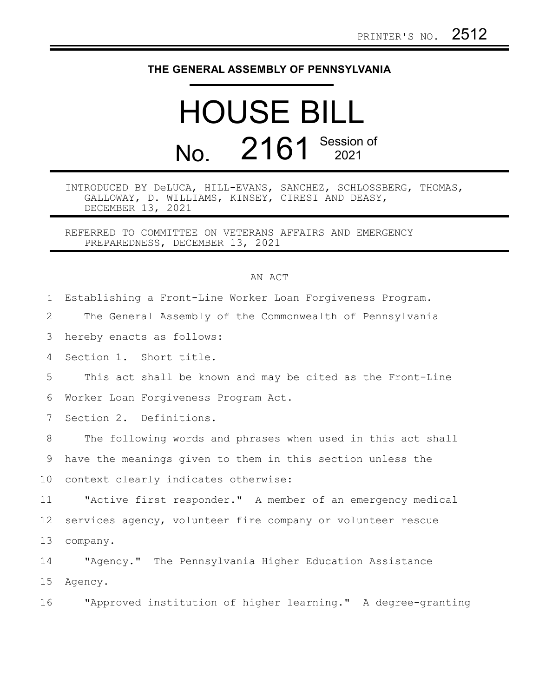## **THE GENERAL ASSEMBLY OF PENNSYLVANIA**

## HOUSE BILL No. 2161 Session of

INTRODUCED BY DeLUCA, HILL-EVANS, SANCHEZ, SCHLOSSBERG, THOMAS, GALLOWAY, D. WILLIAMS, KINSEY, CIRESI AND DEASY, DECEMBER 13, 2021

REFERRED TO COMMITTEE ON VETERANS AFFAIRS AND EMERGENCY PREPAREDNESS, DECEMBER 13, 2021

## AN ACT

| $\mathbf{1}$    | Establishing a Front-Line Worker Loan Forgiveness Program.   |
|-----------------|--------------------------------------------------------------|
| 2               | The General Assembly of the Commonwealth of Pennsylvania     |
| 3               | hereby enacts as follows:                                    |
| 4               | Section 1. Short title.                                      |
| 5               | This act shall be known and may be cited as the Front-Line   |
| 6               | Worker Loan Forgiveness Program Act.                         |
| $7\phantom{.0}$ | Section 2. Definitions.                                      |
| 8               | The following words and phrases when used in this act shall  |
| 9               | have the meanings given to them in this section unless the   |
| 10              | context clearly indicates otherwise:                         |
| 11              | "Active first responder." A member of an emergency medical   |
| 12              | services agency, volunteer fire company or volunteer rescue  |
| 13              | company.                                                     |
| 14              | "Agency." The Pennsylvania Higher Education Assistance       |
| 15              | Agency.                                                      |
| 16              | "Approved institution of higher learning." A degree-granting |
|                 |                                                              |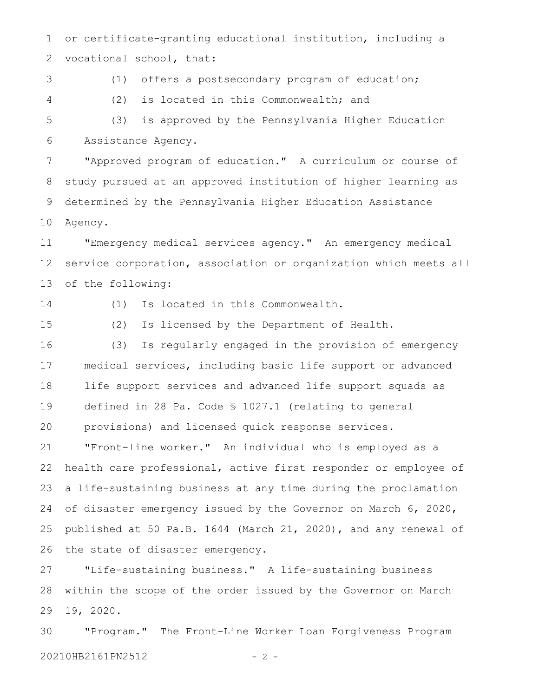or certificate-granting educational institution, including a vocational school, that: 1 2

3

4

(1) offers a postsecondary program of education; (2) is located in this Commonwealth; and

(3) is approved by the Pennsylvania Higher Education Assistance Agency. 5 6

"Approved program of education." A curriculum or course of study pursued at an approved institution of higher learning as determined by the Pennsylvania Higher Education Assistance Agency. 7 8 9 10

"Emergency medical services agency." An emergency medical service corporation, association or organization which meets all of the following: 11 12 13

14

(1) Is located in this Commonwealth.

15

(2) Is licensed by the Department of Health.

(3) Is regularly engaged in the provision of emergency medical services, including basic life support or advanced life support services and advanced life support squads as defined in 28 Pa. Code § 1027.1 (relating to general provisions) and licensed quick response services. "Front-line worker." An individual who is employed as a health care professional, active first responder or employee of a life-sustaining business at any time during the proclamation of disaster emergency issued by the Governor on March 6, 2020, published at 50 Pa.B. 1644 (March 21, 2020), and any renewal of the state of disaster emergency. 16 17 18 19 20 21 22 23 24 25 26

"Life-sustaining business." A life-sustaining business within the scope of the order issued by the Governor on March 19, 2020. 27 28 29

"Program." The Front-Line Worker Loan Forgiveness Program 20210HB2161PN2512 - 2 -30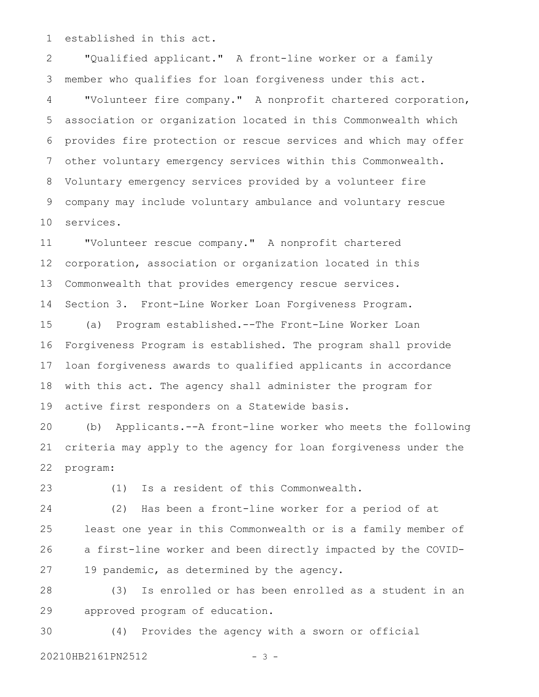established in this act. 1

"Qualified applicant." A front-line worker or a family member who qualifies for loan forgiveness under this act. "Volunteer fire company." A nonprofit chartered corporation, association or organization located in this Commonwealth which provides fire protection or rescue services and which may offer other voluntary emergency services within this Commonwealth. Voluntary emergency services provided by a volunteer fire company may include voluntary ambulance and voluntary rescue services. 2 3 4 5 6 7 8 9 10

"Volunteer rescue company." A nonprofit chartered corporation, association or organization located in this Commonwealth that provides emergency rescue services. 11 12 13

Section 3. Front-Line Worker Loan Forgiveness Program. 14

(a) Program established.--The Front-Line Worker Loan Forgiveness Program is established. The program shall provide loan forgiveness awards to qualified applicants in accordance with this act. The agency shall administer the program for active first responders on a Statewide basis. 15 16 17 18 19

(b) Applicants.--A front-line worker who meets the following criteria may apply to the agency for loan forgiveness under the program: 20 21 22

23

(1) Is a resident of this Commonwealth.

(2) Has been a front-line worker for a period of at least one year in this Commonwealth or is a family member of a first-line worker and been directly impacted by the COVID-19 pandemic, as determined by the agency. 24 25 26 27

(3) Is enrolled or has been enrolled as a student in an approved program of education. 28 29

(4) Provides the agency with a sworn or official 20210HB2161PN2512 - 3 -30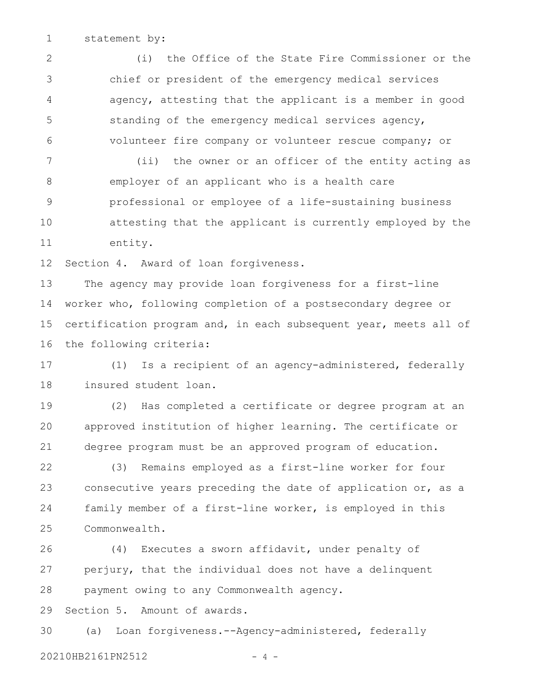statement by: 1

(i) the Office of the State Fire Commissioner or the chief or president of the emergency medical services agency, attesting that the applicant is a member in good standing of the emergency medical services agency, volunteer fire company or volunteer rescue company; or 2 3 4 5 6

(ii) the owner or an officer of the entity acting as employer of an applicant who is a health care professional or employee of a life-sustaining business attesting that the applicant is currently employed by the entity. 7 8 9 10 11

Section 4. Award of loan forgiveness. 12

The agency may provide loan forgiveness for a first-line worker who, following completion of a postsecondary degree or certification program and, in each subsequent year, meets all of the following criteria: 13 14 15 16

(1) Is a recipient of an agency-administered, federally insured student loan. 17 18

(2) Has completed a certificate or degree program at an approved institution of higher learning. The certificate or degree program must be an approved program of education. 19 20 21

(3) Remains employed as a first-line worker for four consecutive years preceding the date of application or, as a family member of a first-line worker, is employed in this Commonwealth. 22 23 24 25

(4) Executes a sworn affidavit, under penalty of perjury, that the individual does not have a delinquent payment owing to any Commonwealth agency. 26 27 28

Section 5. Amount of awards. 29

(a) Loan forgiveness.--Agency-administered, federally 20210HB2161PN2512 - 4 -30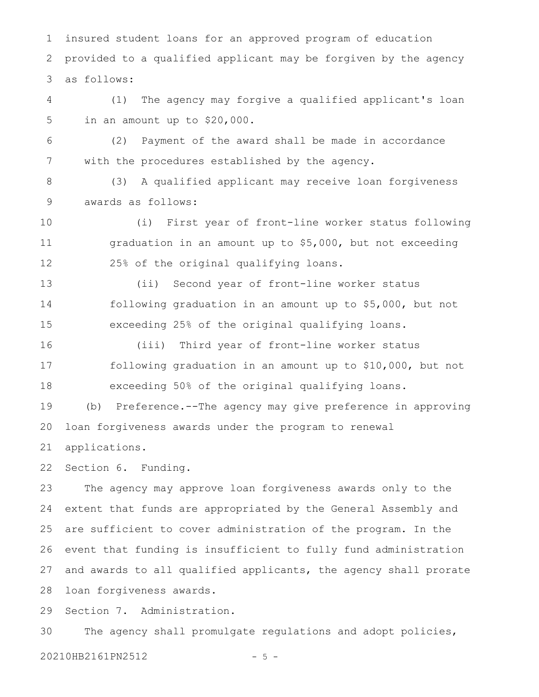insured student loans for an approved program of education provided to a qualified applicant may be forgiven by the agency as follows: 1 2 3

(1) The agency may forgive a qualified applicant's loan in an amount up to \$20,000. 4 5

(2) Payment of the award shall be made in accordance with the procedures established by the agency. 6 7

(3) A qualified applicant may receive loan forgiveness awards as follows: 8 9

(i) First year of front-line worker status following graduation in an amount up to \$5,000, but not exceeding 25% of the original qualifying loans. 10 11 12

(ii) Second year of front-line worker status following graduation in an amount up to \$5,000, but not exceeding 25% of the original qualifying loans. 13 14 15

(iii) Third year of front-line worker status following graduation in an amount up to \$10,000, but not exceeding 50% of the original qualifying loans. 16 17 18

(b) Preference.--The agency may give preference in approving loan forgiveness awards under the program to renewal 19 20

applications. 21

Section 6. Funding. 22

The agency may approve loan forgiveness awards only to the extent that funds are appropriated by the General Assembly and are sufficient to cover administration of the program. In the event that funding is insufficient to fully fund administration and awards to all qualified applicants, the agency shall prorate loan forgiveness awards. 23 24 25 26 27 28

Section 7. Administration. 29

The agency shall promulgate regulations and adopt policies, 20210HB2161PN2512 - 5 -30